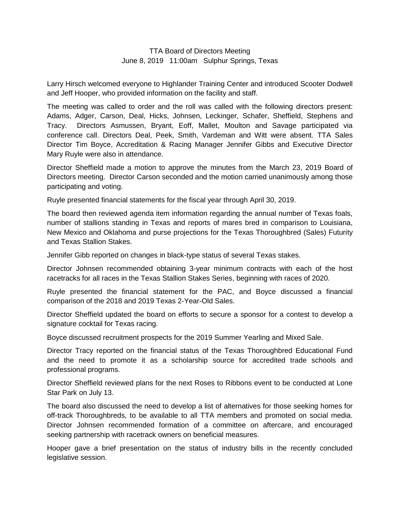## TTA Board of Directors Meeting June 8, 2019 11:00am Sulphur Springs, Texas

Larry Hirsch welcomed everyone to Highlander Training Center and introduced Scooter Dodwell and Jeff Hooper, who provided information on the facility and staff.

The meeting was called to order and the roll was called with the following directors present: Adams, Adger, Carson, Deal, Hicks, Johnsen, Leckinger, Schafer, Sheffield, Stephens and Tracy. Directors Asmussen, Bryant, Eoff, Mallet, Moulton and Savage participated via conference call. Directors Deal, Peek, Smith, Vardeman and Witt were absent. TTA Sales Director Tim Boyce, Accreditation & Racing Manager Jennifer Gibbs and Executive Director Mary Ruyle were also in attendance.

Director Sheffield made a motion to approve the minutes from the March 23, 2019 Board of Directors meeting. Director Carson seconded and the motion carried unanimously among those participating and voting.

Ruyle presented financial statements for the fiscal year through April 30, 2019.

The board then reviewed agenda item information regarding the annual number of Texas foals, number of stallions standing in Texas and reports of mares bred in comparison to Louisiana, New Mexico and Oklahoma and purse projections for the Texas Thoroughbred (Sales) Futurity and Texas Stallion Stakes.

Jennifer Gibb reported on changes in black-type status of several Texas stakes.

Director Johnsen recommended obtaining 3-year minimum contracts with each of the host racetracks for all races in the Texas Stallion Stakes Series, beginning with races of 2020.

Ruyle presented the financial statement for the PAC, and Boyce discussed a financial comparison of the 2018 and 2019 Texas 2-Year-Old Sales.

Director Sheffield updated the board on efforts to secure a sponsor for a contest to develop a signature cocktail for Texas racing.

Boyce discussed recruitment prospects for the 2019 Summer Yearling and Mixed Sale.

Director Tracy reported on the financial status of the Texas Thoroughbred Educational Fund and the need to promote it as a scholarship source for accredited trade schools and professional programs.

Director Sheffield reviewed plans for the next Roses to Ribbons event to be conducted at Lone Star Park on July 13.

The board also discussed the need to develop a list of alternatives for those seeking homes for off-track Thoroughbreds, to be available to all TTA members and promoted on social media. Director Johnsen recommended formation of a committee on aftercare, and encouraged seeking partnership with racetrack owners on beneficial measures.

Hooper gave a brief presentation on the status of industry bills in the recently concluded legislative session.